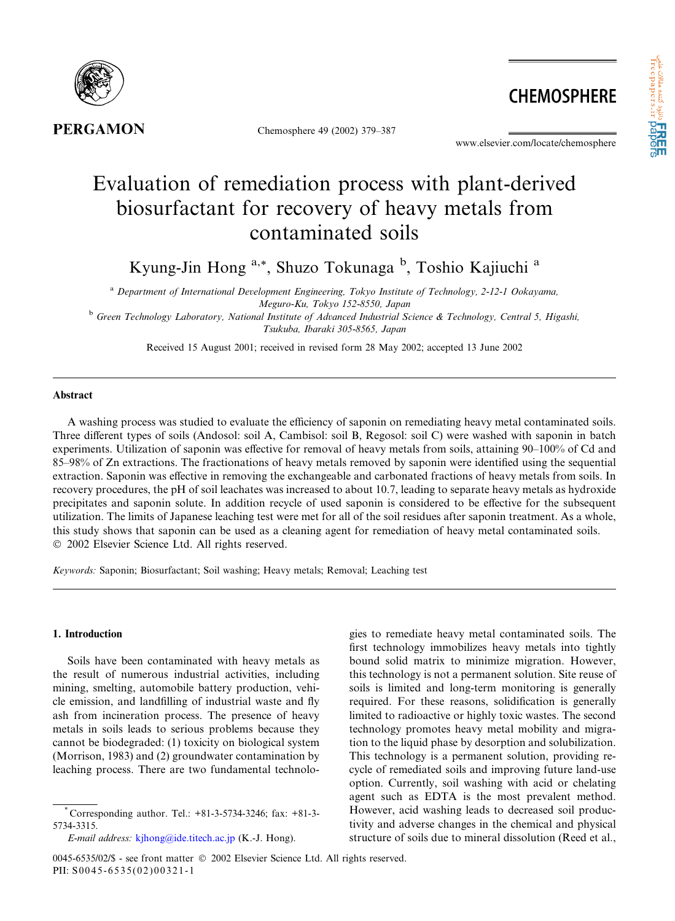

**PERGAMON** 

Chemosphere 49 (2002) 379–387

www.elsevier.com/locate/chemosphere

**CHEMOSPHERE** 

# Evaluation of remediation process with plant-derived biosurfactant for recovery of heavy metals from contaminated soils

Kyung-Jin Hong <sup>a,\*</sup>, Shuzo Tokunaga <sup>b</sup>, Toshio Kajiuchi <sup>a</sup>

<sup>a</sup> Department of International Development Engineering, Tokyo Institute of Technology, 2-12-1 Ookayama, Meguro-Ku, Tokyo 152-8550, Japan

<sup>b</sup> Green Technology Laboratory, National Institute of Advanced Industrial Science & Technology, Central 5, Higashi, Tsukuba, Ibaraki 305-8565, Japan

Received 15 August 2001; received in revised form 28 May 2002; accepted 13 June 2002

## Abstract

A washing process was studied to evaluate the efficiency of saponin on remediating heavy metal contaminated soils. Three different types of soils (Andosol: soil A, Cambisol: soil B, Regosol: soil C) were washed with saponin in batch experiments. Utilization of saponin was effective for removal of heavy metals from soils, attaining 90–100% of Cd and 85–98% of Zn extractions. The fractionations of heavy metals removed by saponin were identified using the sequential extraction. Saponin was effective in removing the exchangeable and carbonated fractions of heavy metals from soils. In recovery procedures, the pH of soil leachates was increased to about 10.7, leading to separate heavy metals as hydroxide precipitates and saponin solute. In addition recycle of used saponin is considered to be effective for the subsequent utilization. The limits of Japanese leaching test were met for all of the soil residues after saponin treatment. As a whole, this study shows that saponin can be used as a cleaning agent for remediation of heavy metal contaminated soils. 2002 Elsevier Science Ltd. All rights reserved.

Keywords: Saponin; Biosurfactant; Soil washing; Heavy metals; Removal; Leaching test

# 1. Introduction

Soils have been contaminated with heavy metals as the result of numerous industrial activities, including mining, smelting, automobile battery production, vehicle emission, and landfilling of industrial waste and fly ash from incineration process. The presence of heavy metals in soils leads to serious problems because they cannot be biodegraded: (1) toxicity on biological system (Morrison, 1983) and (2) groundwater contamination by leaching process. There are two fundamental technologies to remediate heavy metal contaminated soils. The first technology immobilizes heavy metals into tightly bound solid matrix to minimize migration. However, this technology is not a permanent solution. Site reuse of soils is limited and long-term monitoring is generally required. For these reasons, solidification is generally limited to radioactive or highly toxic wastes. The second technology promotes heavy metal mobility and migration to the liquid phase by desorption and solubilization. This technology is a permanent solution, providing recycle of remediated soils and improving future land-use option. Currently, soil washing with acid or chelating agent such as EDTA is the most prevalent method. However, acid washing leads to decreased soil productivity and adverse changes in the chemical and physical structure of soils due to mineral dissolution (Reed et al.,

<sup>\*</sup> Corresponding author. Tel.: +81-3-5734-3246; fax: +81-3- 5734-3315.

E-mail address: [kjhong@ide.titech.ac.jp](mail to: kjhong@ide.titech.ac.jp) (K.-J. Hong).

<sup>0045-6535/02/\$ -</sup> see front matter  $\odot$  2002 Elsevier Science Ltd. All rights reserved. PII: S0045-6535(02)00321-1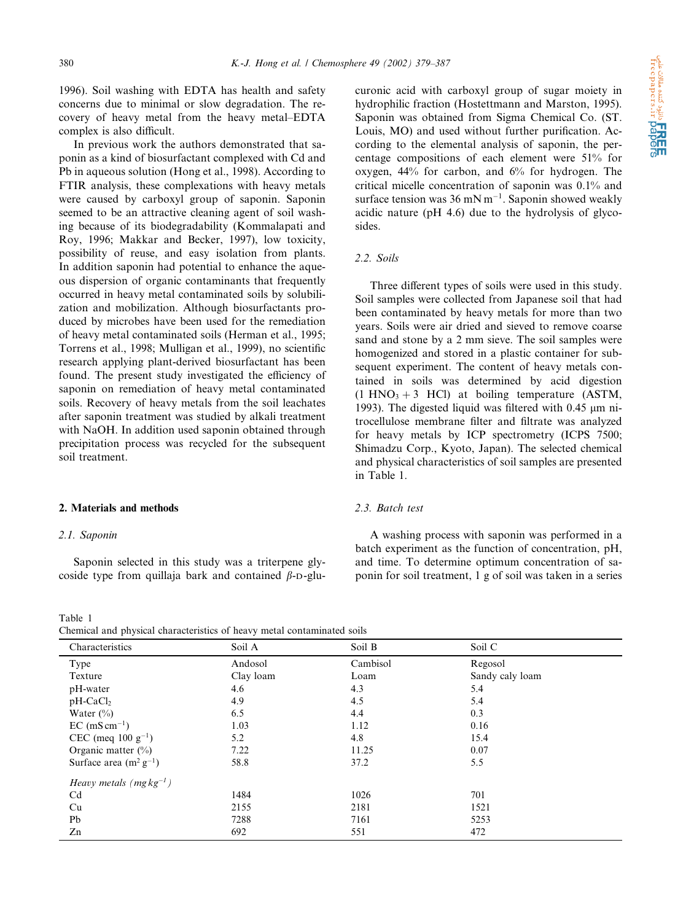1996). Soil washing with EDTA has health and safety concerns due to minimal or slow degradation. The recovery of heavy metal from the heavy metal–EDTA complex is also difficult.

In previous work the authors demonstrated that saponin as a kind of biosurfactant complexed with Cd and Pb in aqueous solution (Hong et al., 1998). According to FTIR analysis, these complexations with heavy metals were caused by carboxyl group of saponin. Saponin seemed to be an attractive cleaning agent of soil washing because of its biodegradability (Kommalapati and Roy, 1996; Makkar and Becker, 1997), low toxicity, possibility of reuse, and easy isolation from plants. In addition saponin had potential to enhance the aqueous dispersion of organic contaminants that frequently occurred in heavy metal contaminated soils by solubilization and mobilization. Although biosurfactants produced by microbes have been used for the remediation of heavy metal contaminated soils (Herman et al., 1995; Torrens et al., 1998; Mulligan et al., 1999), no scientific research applying plant-derived biosurfactant has been found. The present study investigated the efficiency of saponin on remediation of heavy metal contaminated soils. Recovery of heavy metals from the soil leachates after saponin treatment was studied by alkali treatment with NaOH. In addition used saponin obtained through precipitation process was recycled for the subsequent soil treatment.

## 2. Materials and methods

#### 2.1. Saponin

Saponin selected in this study was a triterpene glycoside type from quillaja bark and contained  $\beta$ -D-glu-

Table 1 Chemical and physical characteristics of heavy metal contaminated soils

curonic acid with carboxyl group of sugar moiety in hydrophilic fraction (Hostettmann and Marston, 1995). Saponin was obtained from Sigma Chemical Co. (ST. Louis, MO) and used without further purification. According to the elemental analysis of saponin, the percentage compositions of each element were 51% for oxygen, 44% for carbon, and 6% for hydrogen. The critical micelle concentration of saponin was 0.1% and surface tension was  $36 \text{ mN m}^{-1}$ . Saponin showed weakly acidic nature (pH 4.6) due to the hydrolysis of glycosides.

## 2.2. Soils

Three different types of soils were used in this study. Soil samples were collected from Japanese soil that had been contaminated by heavy metals for more than two years. Soils were air dried and sieved to remove coarse sand and stone by a 2 mm sieve. The soil samples were homogenized and stored in a plastic container for subsequent experiment. The content of heavy metals contained in soils was determined by acid digestion  $(1 \text{ HNO}_3 + 3 \text{ HCl})$  at boiling temperature (ASTM, 1993). The digested liquid was filtered with  $0.45 \mu m$  nitrocellulose membrane filter and filtrate was analyzed for heavy metals by ICP spectrometry (ICPS 7500; Shimadzu Corp., Kyoto, Japan). The selected chemical and physical characteristics of soil samples are presented in Table 1.

# 2.3. Batch test

A washing process with saponin was performed in a batch experiment as the function of concentration, pH, and time. To determine optimum concentration of saponin for soil treatment, 1 g of soil was taken in a series

| Characteristics                | Soil A    | Soil B   | Soil C          |  |
|--------------------------------|-----------|----------|-----------------|--|
| Type                           | Andosol   | Cambisol | Regosol         |  |
| Texture                        | Clay loam | Loam     | Sandy caly loam |  |
| pH-water                       | 4.6       | 4.3      | 5.4             |  |
| $pH-CaCl2$                     | 4.9       | 4.5      | 5.4             |  |
| Water $(\% )$                  | 6.5       | 4.4      | 0.3             |  |
| $EC (mS cm-1)$                 | 1.03      | 1.12     | 0.16            |  |
| CEC (meq 100 $g^{-1}$ )        | 5.2       | 4.8      | 15.4            |  |
| Organic matter $(\% )$         | 7.22      | 11.25    | 0.07            |  |
| Surface area $(m^2 g^{-1})$    | 58.8      | 37.2     | 5.5             |  |
| Heavy metals ( $mg\,kg^{-1}$ ) |           |          |                 |  |
| Cd                             | 1484      | 1026     | 701             |  |
| Cu                             | 2155      | 2181     | 1521            |  |
| Pb                             | 7288      | 7161     | 5253            |  |
| Zn                             | 692       | 551      | 472             |  |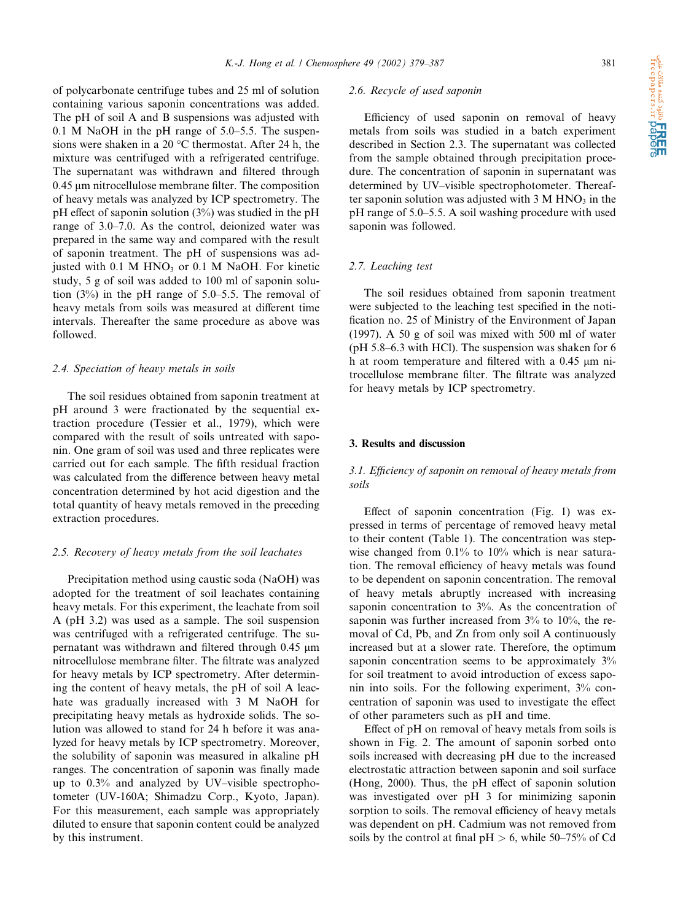of polycarbonate centrifuge tubes and 25 ml of solution containing various saponin concentrations was added. The pH of soil A and B suspensions was adjusted with 0.1 M NaOH in the pH range of 5.0–5.5. The suspensions were shaken in a 20  $^{\circ}$ C thermostat. After 24 h, the mixture was centrifuged with a refrigerated centrifuge. The supernatant was withdrawn and filtered through  $0.45 \mu$ m nitrocellulose membrane filter. The composition of heavy metals was analyzed by ICP spectrometry. The pH effect of saponin solution (3%) was studied in the pH range of 3.0–7.0. As the control, deionized water was prepared in the same way and compared with the result of saponin treatment. The pH of suspensions was adjusted with  $0.1$  M HNO<sub>3</sub> or  $0.1$  M NaOH. For kinetic study, 5 g of soil was added to 100 ml of saponin solution (3%) in the pH range of 5.0–5.5. The removal of heavy metals from soils was measured at different time intervals. Thereafter the same procedure as above was followed.

#### 2.4. Speciation of heavy metals in soils

The soil residues obtained from saponin treatment at pH around 3 were fractionated by the sequential extraction procedure (Tessier et al., 1979), which were compared with the result of soils untreated with saponin. One gram of soil was used and three replicates were carried out for each sample. The fifth residual fraction was calculated from the difference between heavy metal concentration determined by hot acid digestion and the total quantity of heavy metals removed in the preceding extraction procedures.

#### 2.5. Recovery of heavy metals from the soil leachates

Precipitation method using caustic soda (NaOH) was adopted for the treatment of soil leachates containing heavy metals. For this experiment, the leachate from soil A (pH 3.2) was used as a sample. The soil suspension was centrifuged with a refrigerated centrifuge. The supernatant was withdrawn and filtered through  $0.45 \mu m$ nitrocellulose membrane filter. The filtrate was analyzed for heavy metals by ICP spectrometry. After determining the content of heavy metals, the pH of soil A leachate was gradually increased with 3 M NaOH for precipitating heavy metals as hydroxide solids. The solution was allowed to stand for 24 h before it was analyzed for heavy metals by ICP spectrometry. Moreover, the solubility of saponin was measured in alkaline pH ranges. The concentration of saponin was finally made up to 0.3% and analyzed by UV–visible spectrophotometer (UV-160A; Shimadzu Corp., Kyoto, Japan). For this measurement, each sample was appropriately diluted to ensure that saponin content could be analyzed by this instrument.

#### 2.6. Recycle of used saponin

Efficiency of used saponin on removal of heavy metals from soils was studied in a batch experiment described in Section 2.3. The supernatant was collected from the sample obtained through precipitation procedure. The concentration of saponin in supernatant was determined by UV–visible spectrophotometer. Thereafter saponin solution was adjusted with  $3 M HNO<sub>3</sub>$  in the pH range of 5.0–5.5. A soil washing procedure with used saponin was followed.

## 2.7. Leaching test

The soil residues obtained from saponin treatment were subjected to the leaching test specified in the notification no. 25 of Ministry of the Environment of Japan (1997). A 50 g of soil was mixed with 500 ml of water (pH 5.8–6.3 with HCl). The suspension was shaken for 6 h at room temperature and filtered with a  $0.45 \mu m$  nitrocellulose membrane filter. The filtrate was analyzed for heavy metals by ICP spectrometry.

## 3. Results and discussion

## 3.1. Efficiency of saponin on removal of heavy metals from soils

Effect of saponin concentration (Fig. 1) was expressed in terms of percentage of removed heavy metal to their content (Table 1). The concentration was stepwise changed from 0.1% to 10% which is near saturation. The removal efficiency of heavy metals was found to be dependent on saponin concentration. The removal of heavy metals abruptly increased with increasing saponin concentration to 3%. As the concentration of saponin was further increased from 3% to 10%, the removal of Cd, Pb, and Zn from only soil A continuously increased but at a slower rate. Therefore, the optimum saponin concentration seems to be approximately  $3\%$ for soil treatment to avoid introduction of excess saponin into soils. For the following experiment, 3% concentration of saponin was used to investigate the effect of other parameters such as pH and time.

Effect of pH on removal of heavy metals from soils is shown in Fig. 2. The amount of saponin sorbed onto soils increased with decreasing pH due to the increased electrostatic attraction between saponin and soil surface (Hong, 2000). Thus, the pH effect of saponin solution was investigated over pH 3 for minimizing saponin sorption to soils. The removal efficiency of heavy metals was dependent on pH. Cadmium was not removed from soils by the control at final  $pH > 6$ , while 50–75% of Cd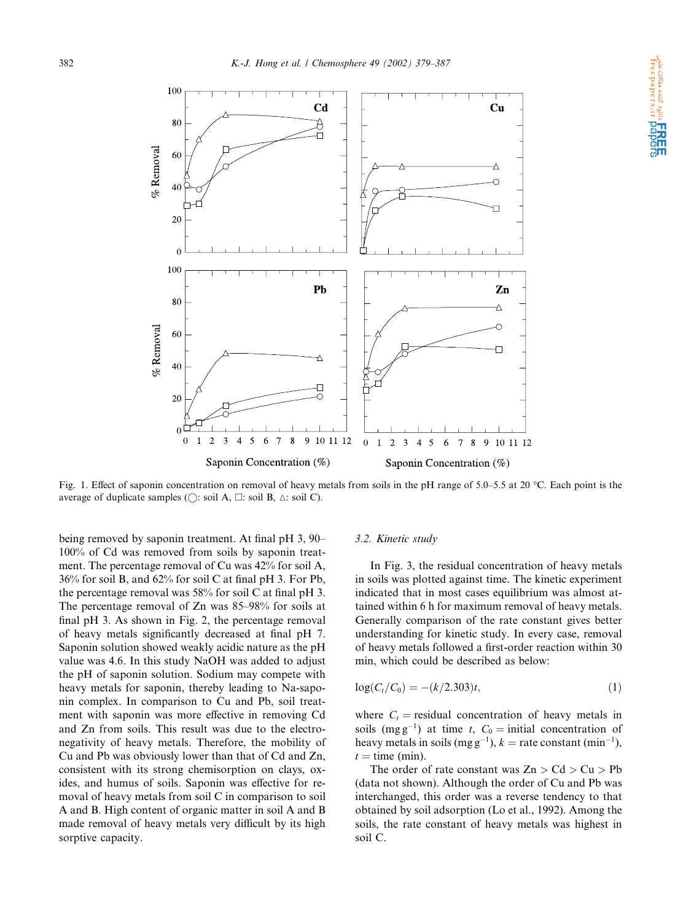

**ا REE**<br>freepapers.ir **paper** 

Fig. 1. Effect of saponin concentration on removal of heavy metals from soils in the pH range of 5.0–5.5 at 20 °C. Each point is the average of duplicate samples ( $\bigcirc$ : soil A,  $\Box$ : soil B,  $\triangle$ : soil C).

being removed by saponin treatment. At final pH 3, 90– 100% of Cd was removed from soils by saponin treatment. The percentage removal of Cu was 42% for soil A, 36% for soil B, and 62% for soil C at final pH 3. For Pb, the percentage removal was 58% for soil C at final pH 3. The percentage removal of Zn was 85–98% for soils at final pH 3. As shown in Fig. 2, the percentage removal of heavy metals significantly decreased at final pH 7. Saponin solution showed weakly acidic nature as the pH value was 4.6. In this study NaOH was added to adjust the pH of saponin solution. Sodium may compete with heavy metals for saponin, thereby leading to Na-saponin complex. In comparison to Cu and Pb, soil treatment with saponin was more effective in removing Cd and Zn from soils. This result was due to the electronegativity of heavy metals. Therefore, the mobility of Cu and Pb was obviously lower than that of Cd and Zn, consistent with its strong chemisorption on clays, oxides, and humus of soils. Saponin was effective for removal of heavy metals from soil C in comparison to soil A and B. High content of organic matter in soil A and B made removal of heavy metals very difficult by its high sorptive capacity.

#### 3.2. Kinetic study

In Fig. 3, the residual concentration of heavy metals in soils was plotted against time. The kinetic experiment indicated that in most cases equilibrium was almost attained within 6 h for maximum removal of heavy metals. Generally comparison of the rate constant gives better understanding for kinetic study. In every case, removal of heavy metals followed a first-order reaction within 30 min, which could be described as below:

$$
log(C_t/C_0) = -(k/2.303)t,
$$
\n(1)

where  $C_t$  = residual concentration of heavy metals in soils (mg g<sup>-1</sup>) at time t,  $C_0 =$  initial concentration of heavy metals in soils (mg g<sup>-1</sup>),  $k =$  rate constant (min<sup>-1</sup>),  $t =$  time (min).

The order of rate constant was  $Zn > Cd > Cu > Pb$ (data not shown). Although the order of Cu and Pb was interchanged, this order was a reverse tendency to that obtained by soil adsorption (Lo et al., 1992). Among the soils, the rate constant of heavy metals was highest in soil C.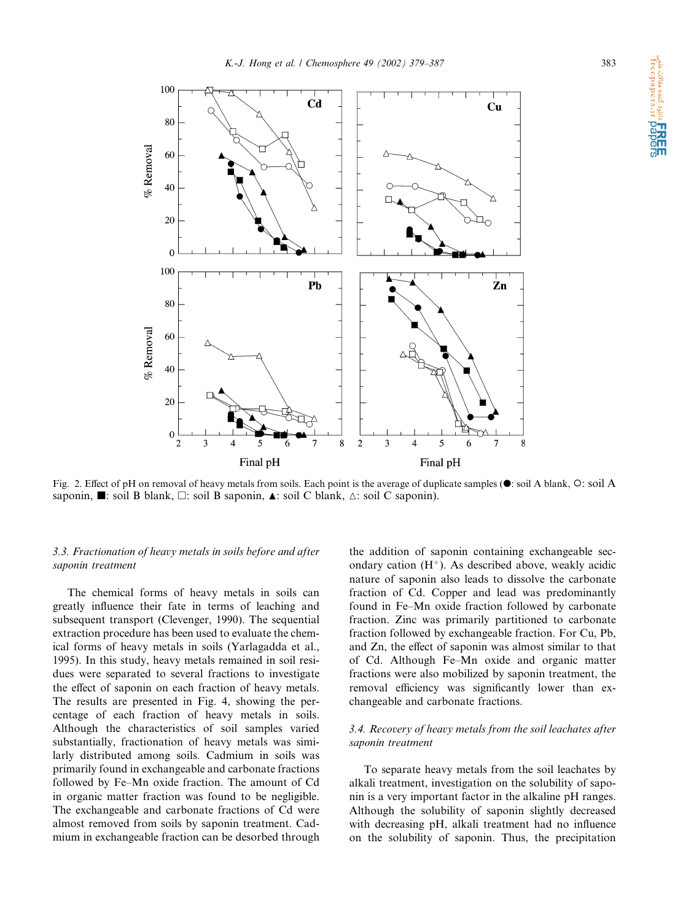

Fig. 2. Effect of pH on removal of heavy metals from soils. Each point is the average of duplicate samples ( $\bullet$ : soil A blank,  $\circ$ : soil A saponin,  $\blacksquare$ : soil B blank,  $\Box$ : soil B saponin,  $\blacktriangle$ : soil C blank,  $\triangle$ : soil C saponin).

### 3.3. Fractionation of heavy metals in soils before and after saponin treatment

The chemical forms of heavy metals in soils can greatly influence their fate in terms of leaching and subsequent transport (Clevenger, 1990). The sequential extraction procedure has been used to evaluate the chemical forms of heavy metals in soils (Yarlagadda et al., 1995). In this study, heavy metals remained in soil residues were separated to several fractions to investigate the effect of saponin on each fraction of heavy metals. The results are presented in Fig. 4, showing the percentage of each fraction of heavy metals in soils. Although the characteristics of soil samples varied substantially, fractionation of heavy metals was similarly distributed among soils. Cadmium in soils was primarily found in exchangeable and carbonate fractions followed by Fe–Mn oxide fraction. The amount of Cd in organic matter fraction was found to be negligible. The exchangeable and carbonate fractions of Cd were almost removed from soils by saponin treatment. Cadmium in exchangeable fraction can be desorbed through

the addition of saponin containing exchangeable secondary cation  $(H^+)$ . As described above, weakly acidic nature of saponin also leads to dissolve the carbonate fraction of Cd. Copper and lead was predominantly found in Fe–Mn oxide fraction followed by carbonate fraction. Zinc was primarily partitioned to carbonate fraction followed by exchangeable fraction. For Cu, Pb, and Zn, the effect of saponin was almost similar to that of Cd. Although Fe–Mn oxide and organic matter fractions were also mobilized by saponin treatment, the removal efficiency was significantly lower than exchangeable and carbonate fractions.

# 3.4. Recovery of heavy metals from the soil leachates after saponin treatment

To separate heavy metals from the soil leachates by alkali treatment, investigation on the solubility of saponin is a very important factor in the alkaline pH ranges. Although the solubility of saponin slightly decreased with decreasing pH, alkali treatment had no influence on the solubility of saponin. Thus, the precipitation

دانلود کننده مقالات علم<mark>ی</mark><br>Treepapers.ir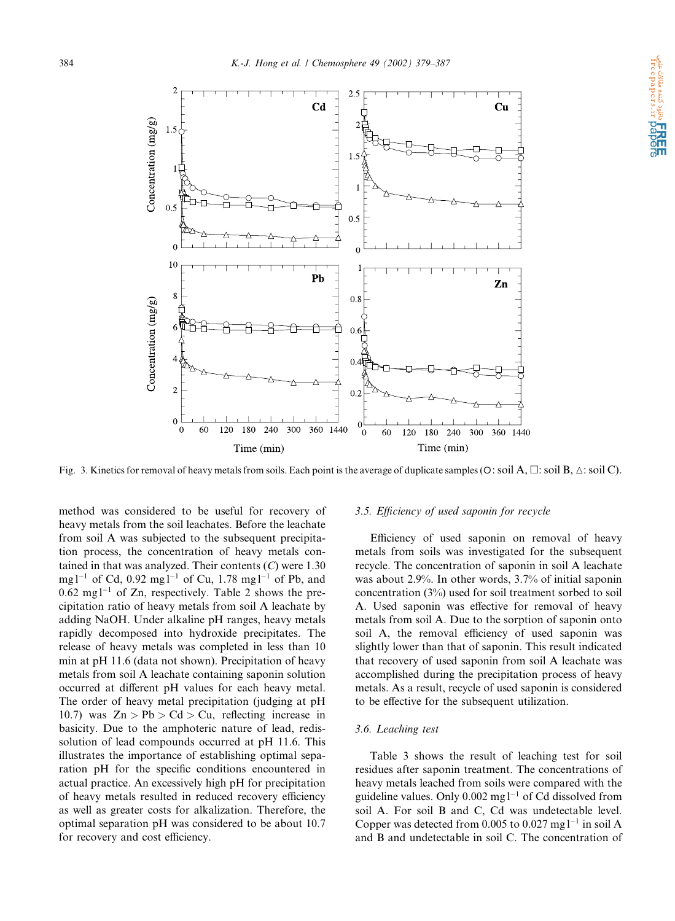

Fig. 3. Kinetics for removal of heavy metals from soils. Each point is the average of duplicate samples (O: soil A,  $\Box$ : soil B,  $\triangle$ : soil C).

method was considered to be useful for recovery of heavy metals from the soil leachates. Before the leachate from soil A was subjected to the subsequent precipitation process, the concentration of heavy metals contained in that was analyzed. Their contents  $(C)$  were 1.30 mg  $l^{-1}$  of Cd, 0.92 mg  $l^{-1}$  of Cu, 1.78 mg  $l^{-1}$  of Pb, and  $0.62 \text{ mg}$ <sup>1-1</sup> of Zn, respectively. Table 2 shows the precipitation ratio of heavy metals from soil A leachate by adding NaOH. Under alkaline pH ranges, heavy metals rapidly decomposed into hydroxide precipitates. The release of heavy metals was completed in less than 10 min at pH 11.6 (data not shown). Precipitation of heavy metals from soil A leachate containing saponin solution occurred at different pH values for each heavy metal. The order of heavy metal precipitation (judging at pH 10.7) was  $Zn > Pb > Cd > Cu$ , reflecting increase in basicity. Due to the amphoteric nature of lead, redissolution of lead compounds occurred at pH 11.6. This illustrates the importance of establishing optimal separation pH for the specific conditions encountered in actual practice. An excessively high pH for precipitation of heavy metals resulted in reduced recovery efficiency as well as greater costs for alkalization. Therefore, the optimal separation pH was considered to be about 10.7 for recovery and cost efficiency.

#### 3.5. Efficiency of used saponin for recycle

Efficiency of used saponin on removal of heavy metals from soils was investigated for the subsequent recycle. The concentration of saponin in soil A leachate was about 2.9%. In other words, 3.7% of initial saponin concentration (3%) used for soil treatment sorbed to soil A. Used saponin was effective for removal of heavy metals from soil A. Due to the sorption of saponin onto soil A, the removal efficiency of used saponin was slightly lower than that of saponin. This result indicated that recovery of used saponin from soil A leachate was accomplished during the precipitation process of heavy metals. As a result, recycle of used saponin is considered to be effective for the subsequent utilization.

## 3.6. Leaching test

Table 3 shows the result of leaching test for soil residues after saponin treatment. The concentrations of heavy metals leached from soils were compared with the guideline values. Only  $0.002$  mg  $l^{-1}$  of Cd dissolved from soil A. For soil B and C, Cd was undetectable level. Copper was detected from 0.005 to 0.027 mg  $l^{-1}$  in soil A and B and undetectable in soil C. The concentration of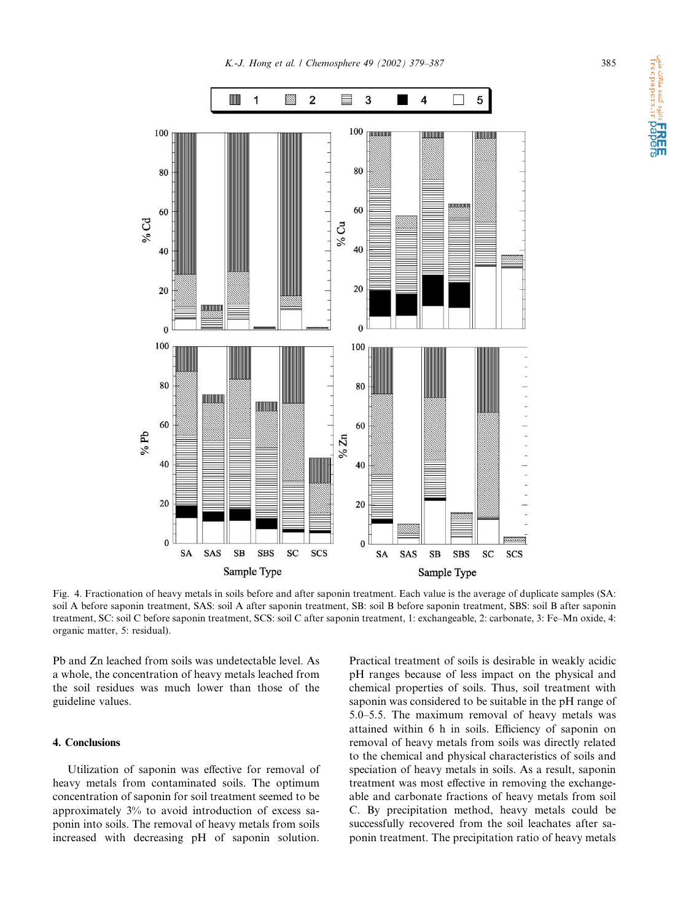

**ا ERE!**<br>freepapers.ir **pape**r

Fig. 4. Fractionation of heavy metals in soils before and after saponin treatment. Each value is the average of duplicate samples (SA: soil A before saponin treatment, SAS: soil A after saponin treatment, SB: soil B before saponin treatment, SBS: soil B after saponin treatment, SC: soil C before saponin treatment, SCS: soil C after saponin treatment, 1: exchangeable, 2: carbonate, 3: Fe–Mn oxide, 4: organic matter, 5: residual).

Pb and Zn leached from soils was undetectable level. As a whole, the concentration of heavy metals leached from the soil residues was much lower than those of the guideline values.

# 4. Conclusions

Utilization of saponin was effective for removal of heavy metals from contaminated soils. The optimum concentration of saponin for soil treatment seemed to be approximately 3% to avoid introduction of excess saponin into soils. The removal of heavy metals from soils increased with decreasing pH of saponin solution.

Practical treatment of soils is desirable in weakly acidic pH ranges because of less impact on the physical and chemical properties of soils. Thus, soil treatment with saponin was considered to be suitable in the pH range of 5.0–5.5. The maximum removal of heavy metals was attained within 6 h in soils. Efficiency of saponin on removal of heavy metals from soils was directly related to the chemical and physical characteristics of soils and speciation of heavy metals in soils. As a result, saponin treatment was most effective in removing the exchangeable and carbonate fractions of heavy metals from soil C. By precipitation method, heavy metals could be successfully recovered from the soil leachates after saponin treatment. The precipitation ratio of heavy metals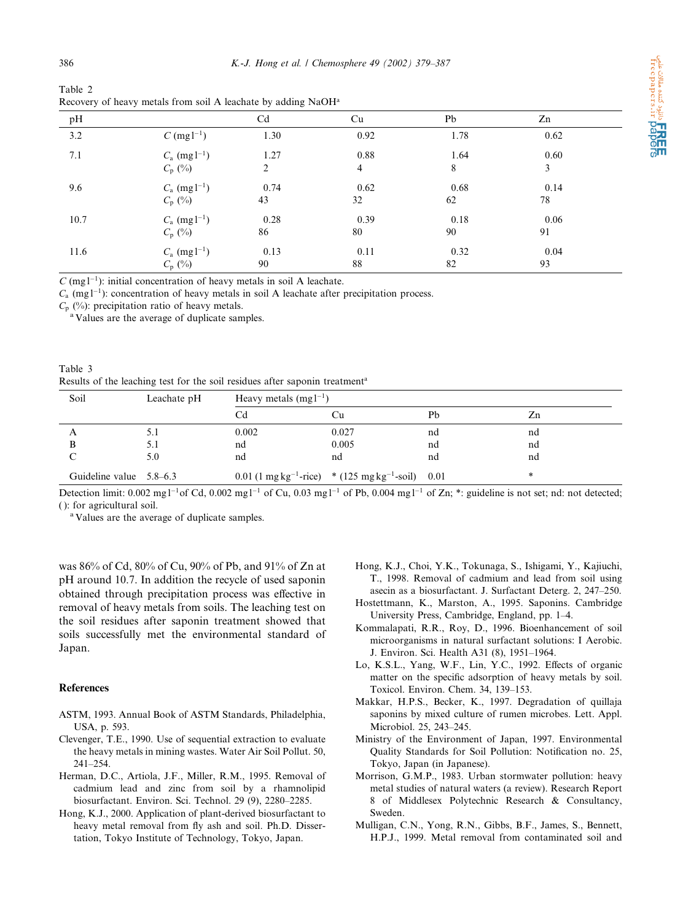|    |              | ٧                |
|----|--------------|------------------|
| ۰. | ۰,<br>$\sim$ | I<br>٠<br>$\sim$ |

| Table 2                                                                   |  |
|---------------------------------------------------------------------------|--|
| Recovery of heavy metals from soil A leachate by adding NaOH <sup>a</sup> |  |

| pH   |                                               | C <sub>d</sub> | Cu                     | Pb         | Zn         |  |
|------|-----------------------------------------------|----------------|------------------------|------------|------------|--|
| 3.2  | $C \, (\text{mg1}^{-1})$                      | 1.30           | 0.92                   | 1.78       | 0.62       |  |
| 7.1  | $C_{\rm a}$ (mg $l^{-1}$ )<br>$C_{\rm p}$ (%) | 1.27<br>2      | 0.88<br>$\overline{4}$ | 1.64<br>8  | 0.60<br>3  |  |
| 9.6  | $C_{\rm a}$ (mg $l^{-1}$ )<br>$C_{\rm p}$ (%) | 0.74<br>43     | 0.62<br>32             | 0.68<br>62 | 0.14<br>78 |  |
| 10.7 | $C_{\rm a}$ (mg $l^{-1}$ )<br>$C_{\rm p}$ (%) | 0.28<br>86     | 0.39<br>80             | 0.18<br>90 | 0.06<br>91 |  |
| 11.6 | $C_{\rm a}$ (mg $l^{-1}$ )<br>$C_{\rm p}$ (%) | 0.13<br>90     | 0.11<br>88             | 0.32<br>82 | 0.04<br>93 |  |

 $C$  (mg l<sup>-1</sup>): initial concentration of heavy metals in soil A leachate.

 $C_a$  (mg l<sup>-1</sup>): concentration of heavy metals in soil A leachate after precipitation process.

 $C_p$  (%): precipitation ratio of heavy metals.

<sup>a</sup> Values are the average of duplicate samples.

| Table 3                                                                                 |  |
|-----------------------------------------------------------------------------------------|--|
| Results of the leaching test for the soil residues after saponin treatment <sup>a</sup> |  |

| Soil                    | Leachate pH | Heavy metals $(mg1^{-1})$ |                                                                             |    |    |
|-------------------------|-------------|---------------------------|-----------------------------------------------------------------------------|----|----|
|                         |             | Cd                        |                                                                             | Pb | Zn |
|                         | 5.1         | 0.002                     | 0.027                                                                       | nd | nd |
|                         | 5.1         | nd                        | 0.005                                                                       | nd | nd |
|                         | 5.0         | nd                        | nd                                                                          | nd | nd |
| Guideline value 5.8–6.3 |             |                           | $0.01$ (1 mg kg <sup>-1</sup> -rice) * (125 mg kg <sup>-1</sup> -soil) 0.01 |    | *  |

Detection limit:  $0.002 \text{ mg} \cdot \text{log} \cdot 0.002 \text{ mg} \cdot \text{log} \cdot \text{log} \cdot 0.03 \text{ mg} \cdot \text{log} \cdot \text{log} \cdot 0.004 \text{ mg} \cdot \text{log} \cdot \text{log} \cdot \text{log} \cdot \text{log} \cdot \text{log} \cdot \text{log} \cdot \text{log} \cdot \text{log} \cdot \text{log} \cdot \text{log} \cdot \text{log} \cdot \text{log} \cdot \text{log} \cdot \text{log} \cdot \text{log} \cdot \text{log} \cdot \text{log} \$ 

(): for agricultural soil.<br><sup>a</sup> Values are the average of duplicate samples.

was 86% of Cd, 80% of Cu, 90% of Pb, and 91% of Zn at pH around 10.7. In addition the recycle of used saponin obtained through precipitation process was effective in removal of heavy metals from soils. The leaching test on the soil residues after saponin treatment showed that soils successfully met the environmental standard of Japan.

# References

- ASTM, 1993. Annual Bookof ASTM Standards, Philadelphia, USA, p. 593.
- Clevenger, T.E., 1990. Use of sequential extraction to evaluate the heavy metals in mining wastes. Water Air Soil Pollut. 50, 241–254.
- Herman, D.C., Artiola, J.F., Miller, R.M., 1995. Removal of cadmium lead and zinc from soil by a rhamnolipid biosurfactant. Environ. Sci. Technol. 29 (9), 2280–2285.
- Hong, K.J., 2000. Application of plant-derived biosurfactant to heavy metal removal from fly ash and soil. Ph.D. Dissertation, Tokyo Institute of Technology, Tokyo, Japan.
- Hong, K.J., Choi, Y.K., Tokunaga, S., Ishigami, Y., Kajiuchi, T., 1998. Removal of cadmium and lead from soil using asecin as a biosurfactant. J. Surfactant Deterg. 2, 247–250.
- Hostettmann, K., Marston, A., 1995. Saponins. Cambridge University Press, Cambridge, England, pp. 1–4.
- Kommalapati, R.R., Roy, D., 1996. Bioenhancement of soil microorganisms in natural surfactant solutions: I Aerobic. J. Environ. Sci. Health A31 (8), 1951–1964.
- Lo, K.S.L., Yang, W.F., Lin, Y.C., 1992. Effects of organic matter on the specific adsorption of heavy metals by soil. Toxicol. Environ. Chem. 34, 139–153.
- Makkar, H.P.S., Becker, K., 1997. Degradation of quillaja saponins by mixed culture of rumen microbes. Lett. Appl. Microbiol. 25, 243–245.
- Ministry of the Environment of Japan, 1997. Environmental Quality Standards for Soil Pollution: Notification no. 25, Tokyo, Japan (in Japanese).
- Morrison, G.M.P., 1983. Urban stormwater pollution: heavy metal studies of natural waters (a review). Research Report 8 of Middlesex Polytechnic Research & Consultancy, Sweden.
- Mulligan, C.N., Yong, R.N., Gibbs, B.F., James, S., Bennett, H.P.J., 1999. Metal removal from contaminated soil and